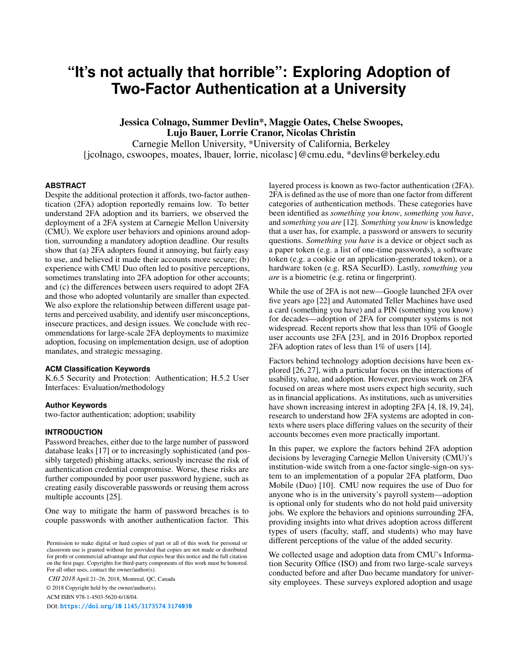# **"It's not actually that horrible": Exploring Adoption of Two-Factor Authentication at a University**

Jessica Colnago, Summer Devlin\*, Maggie Oates, Chelse Swoopes, Lujo Bauer, Lorrie Cranor, Nicolas Christin Carnegie Mellon University, \*University of California, Berkeley {jcolnago, cswoopes, moates, lbauer, lorrie, nicolasc}@cmu.edu, \*devlins@berkeley.edu

# **ABSTRACT**

Despite the additional protection it affords, two-factor authentication (2FA) adoption reportedly remains low. To better understand 2FA adoption and its barriers, we observed the deployment of a 2FA system at Carnegie Mellon University (CMU). We explore user behaviors and opinions around adoption, surrounding a mandatory adoption deadline. Our results show that (a) 2FA adopters found it annoying, but fairly easy to use, and believed it made their accounts more secure; (b) experience with CMU Duo often led to positive perceptions, sometimes translating into 2FA adoption for other accounts; and (c) the differences between users required to adopt 2FA and those who adopted voluntarily are smaller than expected. We also explore the relationship between different usage patterns and perceived usability, and identify user misconceptions, insecure practices, and design issues. We conclude with recommendations for large-scale 2FA deployments to maximize adoption, focusing on implementation design, use of adoption mandates, and strategic messaging.

# **ACM Classification Keywords**

K.6.5 Security and Protection: Authentication; H.5.2 User Interfaces: Evaluation/methodology

## **Author Keywords**

two-factor authentication; adoption; usability

## **INTRODUCTION**

Password breaches, either due to the large number of password database leaks [\[17\]](#page-10-0) or to increasingly sophisticated (and possibly targeted) phishing attacks, seriously increase the risk of authentication credential compromise. Worse, these risks are further compounded by poor user password hygiene, such as creating easily discoverable passwords or reusing them across multiple accounts [\[25\]](#page-10-1).

One way to mitigate the harm of password breaches is to couple passwords with another authentication factor. This

*CHI 2018* April 21–26, 2018, Montreal, QC, Canada

© 2018 Copyright held by the owner/author(s).

ACM ISBN 978-1-4503-5620-6/18/04.

DOI: https://doi.org/10.[1145/3173574](https://doi.org/10.1145/3173574.3174030).3174030

layered process is known as two-factor authentication (2FA). 2FA is defined as the use of more than one factor from different categories of authentication methods. These categories have been identified as *something you know*, *something you have*, and *something you are* [\[12\]](#page-10-2). *Something you know* is knowledge that a user has, for example, a password or answers to security questions. *Something you have* is a device or object such as a paper token (e.g. a list of one-time passwords), a software token (e.g. a cookie or an application-generated token), or a hardware token (e.g. RSA SecurID). Lastly, *something you are* is a biometric (e.g. retina or fingerprint).

While the use of 2FA is not new—Google launched 2FA over five years ago [\[22\]](#page-10-3) and Automated Teller Machines have used a card (something you have) and a PIN (something you know) for decades—adoption of 2FA for computer systems is not widespread. Recent reports show that less than 10% of Google user accounts use 2FA [\[23\]](#page-10-4), and in 2016 Dropbox reported 2FA adoption rates of less than 1% of users [\[14\]](#page-10-5).

Factors behind technology adoption decisions have been explored [\[26,](#page-10-6) [27\]](#page-10-7), with a particular focus on the interactions of usability, value, and adoption. However, previous work on 2FA focused on areas where most users expect high security, such as in financial applications. As institutions, such as universities have shown increasing interest in adopting 2FA [\[4,](#page-10-8) [18,](#page-10-9) [19,](#page-10-10) [24\]](#page-10-11), research to understand how 2FA systems are adopted in contexts where users place differing values on the security of their accounts becomes even more practically important.

In this paper, we explore the factors behind 2FA adoption decisions by leveraging Carnegie Mellon University (CMU)'s institution-wide switch from a one-factor single-sign-on system to an implementation of a popular 2FA platform, Duo Mobile (Duo) [\[10\]](#page-10-12). CMU now requires the use of Duo for anyone who is in the university's payroll system—adoption is optional only for students who do not hold paid university jobs. We explore the behaviors and opinions surrounding 2FA, providing insights into what drives adoption across different types of users (faculty, staff, and students) who may have different perceptions of the value of the added security.

We collected usage and adoption data from CMU's Information Security Office (ISO) and from two large-scale surveys conducted before and after Duo became mandatory for university employees. These surveys explored adoption and usage

Permission to make digital or hard copies of part or all of this work for personal or classroom use is granted without fee provided that copies are not made or distributed for profit or commercial advantage and that copies bear this notice and the full citation on the first page. Copyrights for third-party components of this work must be honored. For all other uses, contact the owner/author(s).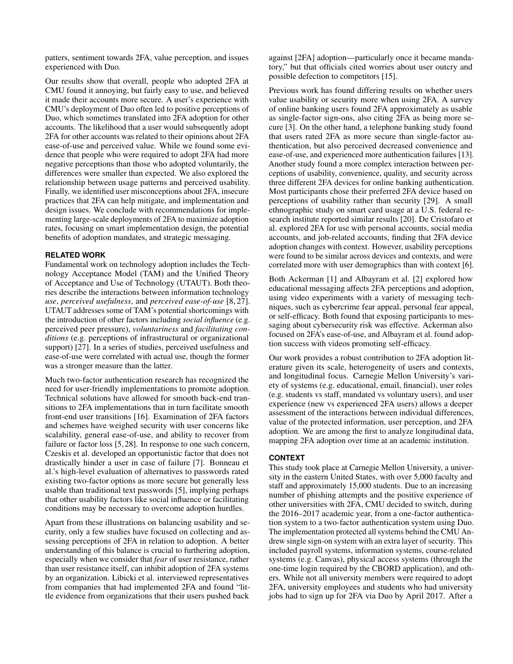patters, sentiment towards 2FA, value perception, and issues experienced with Duo.

Our results show that overall, people who adopted 2FA at CMU found it annoying, but fairly easy to use, and believed it made their accounts more secure. A user's experience with CMU's deployment of Duo often led to positive perceptions of Duo, which sometimes translated into 2FA adoption for other accounts. The likelihood that a user would subsequently adopt 2FA for other accounts was related to their opinions about 2FA ease-of-use and perceived value. While we found some evidence that people who were required to adopt 2FA had more negative perceptions than those who adopted voluntarily, the differences were smaller than expected. We also explored the relationship between usage patterns and perceived usability. Finally, we identified user misconceptions about 2FA, insecure practices that 2FA can help mitigate, and implementation and design issues. We conclude with recommendations for implementing large-scale deployments of 2FA to maximize adoption rates, focusing on smart implementation design, the potential benefits of adoption mandates, and strategic messaging.

# **RELATED WORK**

Fundamental work on technology adoption includes the Technology Acceptance Model (TAM) and the Unified Theory of Acceptance and Use of Technology (UTAUT). Both theories describe the interactions between information technology *use*, *perceived usefulness*, and *perceived ease-of-use* [\[8,](#page-10-13) [27\]](#page-10-7). UTAUT addresses some of TAM's potential shortcomings with the introduction of other factors including *social influence* (e.g. perceived peer pressure), *voluntariness* and *facilitating conditions* (e.g. perceptions of infrastructural or organizational support) [\[27\]](#page-10-7). In a series of studies, perceived usefulness and ease-of-use were correlated with actual use, though the former was a stronger measure than the latter.

Much two-factor authentication research has recognized the need for user-friendly implementations to promote adoption. Technical solutions have allowed for smooth back-end transitions to 2FA implementations that in turn facilitate smooth front-end user transitions [\[16\]](#page-10-14). Examination of 2FA factors and schemes have weighed security with user concerns like scalability, general ease-of-use, and ability to recover from failure or factor loss [\[5,](#page-10-15) [28\]](#page-10-16). In response to one such concern, Czeskis et al. developed an opportunistic factor that does not drastically hinder a user in case of failure [\[7\]](#page-10-17). Bonneau et al.'s high-level evaluation of alternatives to passwords rated existing two-factor options as more secure but generally less usable than traditional text passwords [\[5\]](#page-10-15), implying perhaps that other usability factors like social influence or facilitating conditions may be necessary to overcome adoption hurdles.

Apart from these illustrations on balancing usability and security, only a few studies have focused on collecting and assessing perceptions of 2FA in relation to adoption. A better understanding of this balance is crucial to furthering adoption, especially when we consider that *fear* of user resistance, rather than user resistance itself, can inhibit adoption of 2FA systems by an organization. Libicki et al. interviewed representatives from companies that had implemented 2FA and found "little evidence from organizations that their users pushed back

against [2FA] adoption—particularly once it became mandatory," but that officials cited worries about user outcry and possible defection to competitors [\[15\]](#page-10-18).

Previous work has found differing results on whether users value usability or security more when using 2FA. A survey of online banking users found 2FA approximately as usable as single-factor sign-ons, also citing 2FA as being more secure [\[3\]](#page-10-19). On the other hand, a telephone banking study found that users rated 2FA as more secure than single-factor authentication, but also perceived decreased convenience and ease-of-use, and experienced more authentication failures [\[13\]](#page-10-20). Another study found a more complex interaction between perceptions of usability, convenience, quality, and security across three different 2FA devices for online banking authentication. Most participants chose their preferred 2FA device based on perceptions of usability rather than security [\[29\]](#page-10-21). A small ethnographic study on smart card usage at a U.S. federal research institute reported similar results [\[20\]](#page-10-22). De Cristofaro et al. explored 2FA for use with personal accounts, social media accounts, and job-related accounts, finding that 2FA device adoption changes with context. However, usability perceptions were found to be similar across devices and contexts, and were correlated more with user demographics than with context [\[6\]](#page-10-23).

Both Ackerman [\[1\]](#page-10-24) and Albayram et al. [\[2\]](#page-10-25) explored how educational messaging affects 2FA perceptions and adoption, using video experiments with a variety of messaging techniques, such as cybercrime fear appeal, personal fear appeal, or self-efficacy. Both found that exposing participants to messaging about cybersecurity risk was effective. Ackerman also focused on 2FA's ease-of-use, and Albayram et al. found adoption success with videos promoting self-efficacy.

Our work provides a robust contribution to 2FA adoption literature given its scale, heterogeneity of users and contexts, and longitudinal focus. Carnegie Mellon University's variety of systems (e.g. educational, email, financial), user roles (e.g. students vs staff, mandated vs voluntary users), and user experience (new vs experienced 2FA users) allows a deeper assessment of the interactions between individual differences, value of the protected information, user perception, and 2FA adoption. We are among the first to analyze longitudinal data, mapping 2FA adoption over time at an academic institution.

# **CONTEXT**

This study took place at Carnegie Mellon University, a university in the eastern United States, with over 5,000 faculty and staff and approximately 15,000 students. Due to an increasing number of phishing attempts and the positive experience of other universities with 2FA, CMU decided to switch, during the 2016–2017 academic year, from a one-factor authentication system to a two-factor authentication system using Duo. The implementation protected all systems behind the CMU Andrew single sign-on system with an extra layer of security. This included payroll systems, information systems, course-related systems (e.g. Canvas), physical access systems (through the one-time login required by the CBORD application), and others. While not all university members were required to adopt 2FA, university employees and students who had university jobs had to sign up for 2FA via Duo by April 2017. After a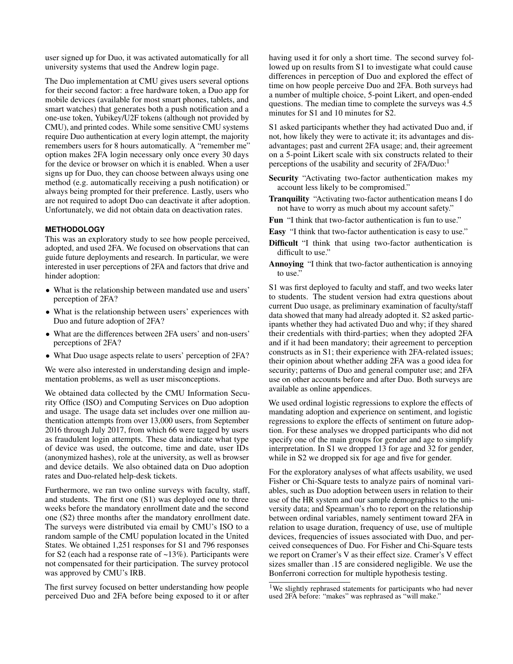user signed up for Duo, it was activated automatically for all university systems that used the Andrew login page.

The Duo implementation at CMU gives users several options for their second factor: a free hardware token, a Duo app for mobile devices (available for most smart phones, tablets, and smart watches) that generates both a push notification and a one-use token, Yubikey/U2F tokens (although not provided by CMU), and printed codes. While some sensitive CMU systems require Duo authentication at every login attempt, the majority remembers users for 8 hours automatically. A "remember me" option makes 2FA login necessary only once every 30 days for the device or browser on which it is enabled. When a user signs up for Duo, they can choose between always using one method (e.g. automatically receiving a push notification) or always being prompted for their preference. Lastly, users who are not required to adopt Duo can deactivate it after adoption. Unfortunately, we did not obtain data on deactivation rates.

# **METHODOLOGY**

This was an exploratory study to see how people perceived, adopted, and used 2FA. We focused on observations that can guide future deployments and research. In particular, we were interested in user perceptions of 2FA and factors that drive and hinder adoption:

- What is the relationship between mandated use and users' perception of 2FA?
- What is the relationship between users' experiences with Duo and future adoption of 2FA?
- What are the differences between 2FA users' and non-users' perceptions of 2FA?
- What Duo usage aspects relate to users' perception of 2FA?

We were also interested in understanding design and implementation problems, as well as user misconceptions.

We obtained data collected by the CMU Information Security Office (ISO) and Computing Services on Duo adoption and usage. The usage data set includes over one million authentication attempts from over 13,000 users, from September 2016 through July 2017, from which 66 were tagged by users as fraudulent login attempts. These data indicate what type of device was used, the outcome, time and date, user IDs (anonymized hashes), role at the university, as well as browser and device details. We also obtained data on Duo adoption rates and Duo-related help-desk tickets.

Furthermore, we ran two online surveys with faculty, staff, and students. The first one (S1) was deployed one to three weeks before the mandatory enrollment date and the second one (S2) three months after the mandatory enrollment date. The surveys were distributed via email by CMU's ISO to a random sample of the CMU population located in the United States. We obtained 1,251 responses for S1 and 796 responses for S2 (each had a response rate of ~13%). Participants were not compensated for their participation. The survey protocol was approved by CMU's IRB.

The first survey focused on better understanding how people perceived Duo and 2FA before being exposed to it or after having used it for only a short time. The second survey followed up on results from S1 to investigate what could cause differences in perception of Duo and explored the effect of time on how people perceive Duo and 2FA. Both surveys had a number of multiple choice, 5-point Likert, and open-ended questions. The median time to complete the surveys was 4.5 minutes for S1 and 10 minutes for S2.

S1 asked participants whether they had activated Duo and, if not, how likely they were to activate it; its advantages and disadvantages; past and current 2FA usage; and, their agreement on a 5-point Likert scale with six constructs related to their perceptions of the usability and security of 2FA/Duo:<sup>[1](#page-2-0)</sup>

- Security "Activating two-factor authentication makes my account less likely to be compromised."
- Tranquility "Activating two-factor authentication means I do not have to worry as much about my account safety."
- Fun "I think that two-factor authentication is fun to use."
- Easy "I think that two-factor authentication is easy to use."
- Difficult "I think that using two-factor authentication is difficult to use."
- Annoying "I think that two-factor authentication is annoying to use."

S1 was first deployed to faculty and staff, and two weeks later to students. The student version had extra questions about current Duo usage, as preliminary examination of faculty/staff data showed that many had already adopted it. S2 asked participants whether they had activated Duo and why; if they shared their credentials with third-parties; when they adopted 2FA and if it had been mandatory; their agreement to perception constructs as in S1; their experience with 2FA-related issues; their opinion about whether adding 2FA was a good idea for security; patterns of Duo and general computer use; and 2FA use on other accounts before and after Duo. Both surveys are available as online appendices.

We used ordinal logistic regressions to explore the effects of mandating adoption and experience on sentiment, and logistic regressions to explore the effects of sentiment on future adoption. For these analyses we dropped participants who did not specify one of the main groups for gender and age to simplify interpretation. In S1 we dropped 13 for age and 32 for gender, while in S2 we dropped six for age and five for gender.

For the exploratory analyses of what affects usability, we used Fisher or Chi-Square tests to analyze pairs of nominal variables, such as Duo adoption between users in relation to their use of the HR system and our sample demographics to the university data; and Spearman's rho to report on the relationship between ordinal variables, namely sentiment toward 2FA in relation to usage duration, frequency of use, use of multiple devices, frequencies of issues associated with Duo, and perceived consequences of Duo. For Fisher and Chi-Square tests we report on Cramer's V as their effect size. Cramer's V effect sizes smaller than .15 are considered negligible. We use the Bonferroni correction for multiple hypothesis testing.

<span id="page-2-0"></span><sup>&</sup>lt;sup>1</sup>We slightly rephrased statements for participants who had never used 2FA before: "makes" was rephrased as "will make."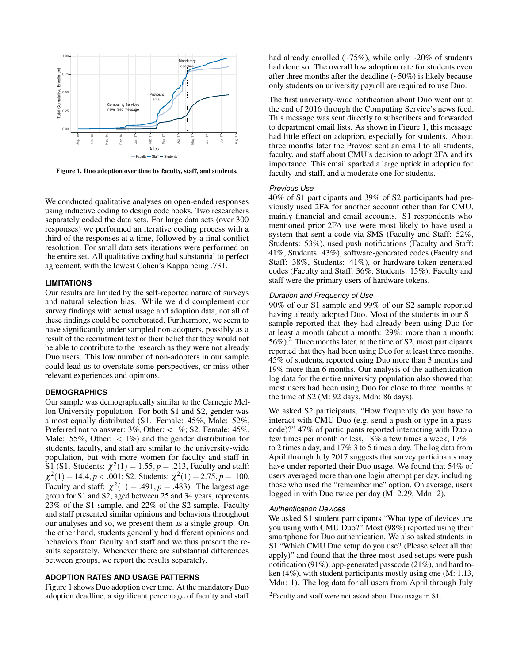

<span id="page-3-0"></span>Figure 1. Duo adoption over time by faculty, staff, and students.

We conducted qualitative analyses on open-ended responses using inductive coding to design code books. Two researchers separately coded the data sets. For large data sets (over 300 responses) we performed an iterative coding process with a third of the responses at a time, followed by a final conflict resolution. For small data sets iterations were performed on the entire set. All qualitative coding had substantial to perfect agreement, with the lowest Cohen's Kappa being .731.

#### **LIMITATIONS**

Our results are limited by the self-reported nature of surveys and natural selection bias. While we did complement our survey findings with actual usage and adoption data, not all of these findings could be corroborated. Furthermore, we seem to have significantly under sampled non-adopters, possibly as a result of the recruitment text or their belief that they would not be able to contribute to the research as they were not already Duo users. This low number of non-adopters in our sample could lead us to overstate some perspectives, or miss other relevant experiences and opinions.

## **DEMOGRAPHICS**

Our sample was demographically similar to the Carnegie Mellon University population. For both S1 and S2, gender was almost equally distributed (S1. Female: 45%, Male: 52%, Preferred not to answer: 3%, Other: < 1%; S2. Female: 45%, Male: 55%, Other:  $\langle 1\% \rangle$  and the gender distribution for students, faculty, and staff are similar to the university-wide population, but with more women for faculty and staff in  $\hat{S}1$  (S1. Students:  $\chi^2(1) = 1.55, p = .213$ , Faculty and staff:  $\chi^2(1) = 14.4, p < .001$ ; S2. Students:  $\chi^2(1) = 2.75, p = .100$ , Faculty and staff:  $\chi^2(1) = .491, p = .483$ ). The largest age group for S1 and S2, aged between 25 and 34 years, represents 23% of the S1 sample, and 22% of the S2 sample. Faculty and staff presented similar opinions and behaviors throughout our analyses and so, we present them as a single group. On the other hand, students generally had different opinions and behaviors from faculty and staff and we thus present the results separately. Whenever there are substantial differences between groups, we report the results separately.

## **ADOPTION RATES AND USAGE PATTERNS**

Figure [1](#page-3-0) shows Duo adoption over time. At the mandatory Duo adoption deadline, a significant percentage of faculty and staff had already enrolled  $(-75\%)$ , while only  $-20\%$  of students had done so. The overall low adoption rate for students even after three months after the deadline  $(-50\%)$  is likely because only students on university payroll are required to use Duo.

The first university-wide notification about Duo went out at the end of 2016 through the Computing Service's news feed. This message was sent directly to subscribers and forwarded to department email lists. As shown in Figure [1,](#page-3-0) this message had little effect on adoption, especially for students. About three months later the Provost sent an email to all students, faculty, and staff about CMU's decision to adopt 2FA and its importance. This email sparked a large uptick in adoption for faculty and staff, and a moderate one for students.

#### *Previous Use*

40% of S1 participants and 39% of S2 participants had previously used 2FA for another account other than for CMU, mainly financial and email accounts. S1 respondents who mentioned prior 2FA use were most likely to have used a system that sent a code via SMS (Faculty and Staff: 52%, Students: 53%), used push notifications (Faculty and Staff: 41%, Students: 43%), software-generated codes (Faculty and Staff: 38%, Students: 41%), or hardware-token-generated codes (Faculty and Staff: 36%, Students: 15%). Faculty and staff were the primary users of hardware tokens.

# *Duration and Frequency of Use*

90% of our S1 sample and 99% of our S2 sample reported having already adopted Duo. Most of the students in our S1 sample reported that they had already been using Duo for at least a month (about a month: 29%; more than a month: 56%).[2](#page-3-1) Three months later, at the time of S2, most participants reported that they had been using Duo for at least three months. 45% of students, reported using Duo more than 3 months and 19% more than 6 months. Our analysis of the authentication log data for the entire university population also showed that most users had been using Duo for close to three months at the time of S2 (M: 92 days, Mdn: 86 days).

We asked S2 participants, "How frequently do you have to interact with CMU Duo (e.g. send a push or type in a passcode)?" 47% of participants reported interacting with Duo a few times per month or less, 18% a few times a week, 17% 1 to 2 times a day, and 17% 3 to 5 times a day. The log data from April through July 2017 suggests that survey participants may have under reported their Duo usage. We found that 54% of users averaged more than one login attempt per day, including those who used the "remember me" option. On average, users logged in with Duo twice per day (M: 2.29, Mdn: 2).

### *Authentication Devices*

We asked S1 student participants "What type of devices are you using with CMU Duo?" Most (98%) reported using their smartphone for Duo authentication. We also asked students in S1 "Which CMU Duo setup do you use? (Please select all that apply)" and found that the three most used setups were push notification (91%), app-generated passcode (21%), and hard token (4%), with student participants mostly using one (M: 1.13, Mdn: 1). The log data for all users from April through July

<span id="page-3-1"></span><sup>2</sup>Faculty and staff were not asked about Duo usage in S1.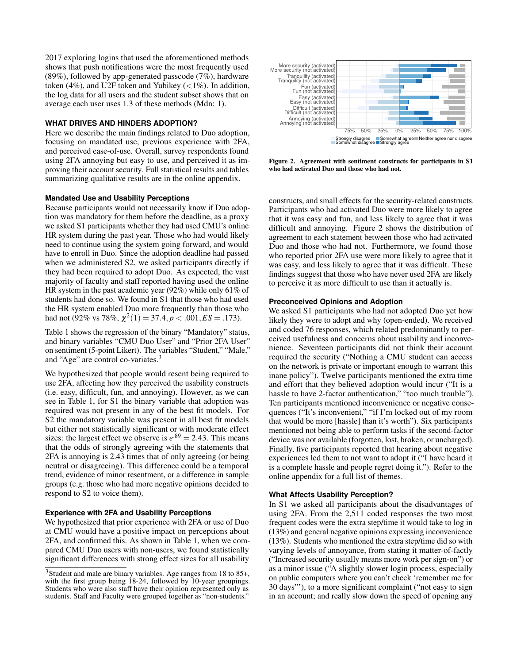2017 exploring logins that used the aforementioned methods shows that push notifications were the most frequently used  $(89\%)$ , followed by app-generated passcode  $(7\%)$ , hardware token (4%), and U2F token and Yubikey ( $\lt 1\%$ ). In addition, the log data for all users and the student subset shows that on average each user uses 1.3 of these methods (Mdn: 1).

# **WHAT DRIVES AND HINDERS ADOPTION?**

Here we describe the main findings related to Duo adoption, focusing on mandated use, previous experience with 2FA, and perceived ease-of-use. Overall, survey respondents found using 2FA annoying but easy to use, and perceived it as improving their account security. Full statistical results and tables summarizing qualitative results are in the online appendix.

# **Mandated Use and Usability Perceptions**

Because participants would not necessarily know if Duo adoption was mandatory for them before the deadline, as a proxy we asked S1 participants whether they had used CMU's online HR system during the past year. Those who had would likely need to continue using the system going forward, and would have to enroll in Duo. Since the adoption deadline had passed when we administered S2, we asked participants directly if they had been required to adopt Duo. As expected, the vast majority of faculty and staff reported having used the online HR system in the past academic year (92%) while only 61% of students had done so. We found in S1 that those who had used the HR system enabled Duo more frequently than those who had not (92% vs 78%,  $\chi^2(1) = 37.4, p < .001, ES = .173$ ).

Table [1](#page-5-0) shows the regression of the binary "Mandatory" status, and binary variables "CMU Duo User" and "Prior 2FA User" on sentiment (5-point Likert). The variables "Student," "Male," and "Age" are control co-variates.[3](#page-4-0)

We hypothesized that people would resent being required to use 2FA, affecting how they perceived the usability constructs (i.e. easy, difficult, fun, and annoying). However, as we can see in Table [1,](#page-5-0) for S1 the binary variable that adoption was required was not present in any of the best fit models. For S2 the mandatory variable was present in all best fit models but either not statistically significant or with moderate effect sizes: the largest effect we observe is  $e^{.89} = 2.43$ . This means that the odds of strongly agreeing with the statements that 2FA is annoying is 2.43 times that of only agreeing (or being neutral or disagreeing). This difference could be a temporal trend, evidence of minor resentment, or a difference in sample groups (e.g. those who had more negative opinions decided to respond to S2 to voice them).

# **Experience with 2FA and Usability Perceptions**

We hypothesized that prior experience with 2FA or use of Duo at CMU would have a positive impact on perceptions about 2FA, and confirmed this. As shown in Table [1,](#page-5-0) when we compared CMU Duo users with non-users, we found statistically significant differences with strong effect sizes for all usability



<span id="page-4-1"></span>Figure 2. Agreement with sentiment constructs for participants in S1 who had activated Duo and those who had not.

constructs, and small effects for the security-related constructs. Participants who had activated Duo were more likely to agree that it was easy and fun, and less likely to agree that it was difficult and annoying. Figure [2](#page-4-1) shows the distribution of agreement to each statement between those who had activated Duo and those who had not. Furthermore, we found those who reported prior 2FA use were more likely to agree that it was easy, and less likely to agree that it was difficult. These findings suggest that those who have never used 2FA are likely to perceive it as more difficult to use than it actually is.

# **Preconceived Opinions and Adoption**

We asked S1 participants who had not adopted Duo yet how likely they were to adopt and why (open-ended). We received and coded 76 responses, which related predominantly to perceived usefulness and concerns about usability and inconvenience. Seventeen participants did not think their account required the security ("Nothing a CMU student can access on the network is private or important enough to warrant this inane policy"). Twelve participants mentioned the extra time and effort that they believed adoption would incur ("It is a hassle to have 2-factor authentication," "too much trouble"). Ten participants mentioned inconvenience or negative consequences ("It's inconvenient," "if I'm locked out of my room that would be more [hassle] than it's worth"). Six participants mentioned not being able to perform tasks if the second-factor device was not available (forgotten, lost, broken, or uncharged). Finally, five participants reported that hearing about negative experiences led them to not want to adopt it ("I have heard it is a complete hassle and people regret doing it."). Refer to the online appendix for a full list of themes.

# **What Affects Usability Perception?**

In S1 we asked all participants about the disadvantages of using 2FA. From the 2,511 coded responses the two most frequent codes were the extra step/time it would take to log in (13%) and general negative opinions expressing inconvenience (13%). Students who mentioned the extra step/time did so with varying levels of annoyance, from stating it matter-of-factly ("Increased security usually means more work per sign-on") or as a minor issue ("A slightly slower login process, especially on public computers where you can't check 'remember me for 30 days"'), to a more significant complaint ("not easy to sign in an account; and really slow down the speed of opening any

<span id="page-4-0"></span><sup>3</sup>Student and male are binary variables. Age ranges from 18 to 85+, with the first group being 18-24, followed by 10-year groupings. Students who were also staff have their opinion represented only as students. Staff and Faculty were grouped together as "non-students."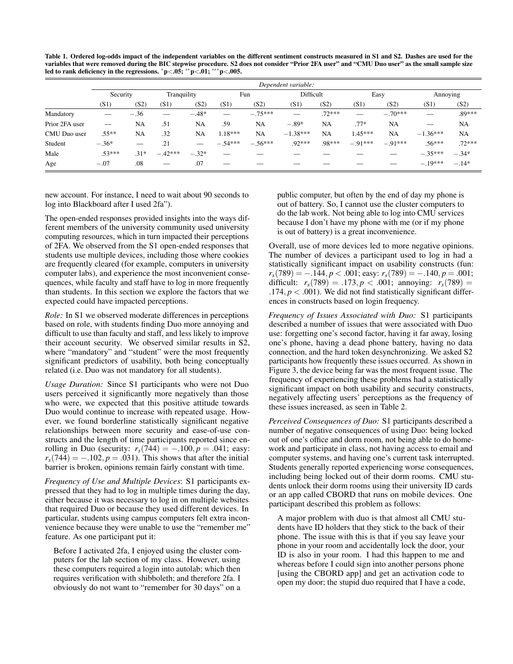<span id="page-5-0"></span>Table 1. Ordered log-odds impact of the independent variables on the different sentiment constructs measured in S1 and S2. Dashes are used for the variables that were removed during the BIC stepwise procedure. S2 does not consider "Prior 2FA user" and "CMU Duo user" as the small sample size led to rank deficiency in the regressions. <sup>∗</sup>p<.05; ∗∗p<.01; ∗∗∗p<.005.

|                | Dependent variable:            |                   |             |                               |           |           |            |          |           |           |            |           |
|----------------|--------------------------------|-------------------|-------------|-------------------------------|-----------|-----------|------------|----------|-----------|-----------|------------|-----------|
|                | Security                       |                   | Tranquility |                               | Fun       |           | Difficult  |          | Easy      |           | Annoying   |           |
|                | (S1)                           | (S2)              | (S1)        | (S2)                          | (S1)      | (S2)      | (S1)       | (S2)     | (S1)      | (S2)      | (S1)       | (S2)      |
| Mandatory      |                                | $-.36$            |             | $-.48*$                       |           | $-.75***$ |            | $.72***$ |           | $-.70***$ |            | $.89***$  |
| Prior 2FA user | $\overbrace{\hspace{25mm}}^{}$ | NA                | .51         | NA                            | .59       | NA        | $-.89*$    | NA       | $.77*$    | NA        |            | NA        |
| CMU Duo user   | $.55**$                        | NA                | .32         | NA                            | $1.18***$ | <b>NA</b> | $-1.38***$ | NA       | $1.45***$ | NA        | $-1.36***$ | <b>NA</b> |
| Student        | $-.36*$                        | $\hspace{0.05cm}$ | .21         | $\overbrace{\phantom{12332}}$ | $-.54***$ | $-.56***$ | $.92***$   | .98***   | $-.91***$ | $-.91***$ | $.56***$   | $.72***$  |
| Male           | $.53***$                       | $.31*$            | $-.42***$   | $-.32*$                       |           |           |            |          |           |           | $-.35***$  | $-.34*$   |
| Age            | $-.07$                         | .08               |             | .07                           |           |           |            |          |           |           | $-.19***$  | $-.14*$   |

new account. For instance, I need to wait about 90 seconds to log into Blackboard after I used 2fa").

The open-ended responses provided insights into the ways different members of the university community used university computing resources, which in turn impacted their perceptions of 2FA. We observed from the S1 open-ended responses that students use multiple devices, including those where cookies are frequently cleared (for example, computers in university computer labs), and experience the most inconvenient consequences, while faculty and staff have to log in more frequently than students. In this section we explore the factors that we expected could have impacted perceptions.

*Role:* In S1 we observed moderate differences in perceptions based on role, with students finding Duo more annoying and difficult to use than faculty and staff, and less likely to improve their account security. We observed similar results in S2, where "mandatory" and "student" were the most frequently significant predictors of usability, both being conceptually related (i.e. Duo was not mandatory for all students).

*Usage Duration:* Since S1 participants who were not Duo users perceived it significantly more negatively than those who were, we expected that this positive attitude towards Duo would continue to increase with repeated usage. However, we found borderline statistically significant negative relationships between more security and ease-of-use constructs and the length of time participants reported since enrolling in Duo (security:  $r_s(744) = -.100, p = .041$ ; easy:  $r_s(744) = -0.102$ ,  $p = 0.031$ ). This shows that after the initial barrier is broken, opinions remain fairly constant with time.

*Frequency of Use and Multiple Devices*: S1 participants expressed that they had to log in multiple times during the day, either because it was necessary to log in on multiple websites that required Duo or because they used different devices. In particular, students using campus computers felt extra inconvenience because they were unable to use the "remember me" feature. As one participant put it:

Before I activated 2fa, I enjoyed using the cluster computers for the lab section of my class. However, using these computers required a login into autolab; which then requires verification with shibboleth; and therefore 2fa. I obviously do not want to "remember for 30 days" on a

public computer, but often by the end of day my phone is out of battery. So, I cannot use the cluster computers to do the lab work. Not being able to log into CMU services because I don't have my phone with me (or if my phone is out of battery) is a great inconvenience.

Overall, use of more devices led to more negative opinions. The number of devices a participant used to log in had a statistically significant impact on usability constructs (fun:  $r_s(789) = -.144, p < .001$ ; easy:  $r_s(789) = -.140, p = .001$ ; difficult:  $r_s(789) = .173, p < .001$ ; annoying:  $r_s(789) =$ .174,  $p < .001$ ). We did not find statistically significant differences in constructs based on login frequency.

*Frequency of Issues Associated with Duo:* S1 participants described a number of issues that were associated with Duo use: forgetting one's second factor, having it far away, losing one's phone, having a dead phone battery, having no data connection, and the hard token desynchronizing. We asked S2 participants how frequently these issues occurred. As shown in Figure [3,](#page-6-0) the device being far was the most frequent issue. The frequency of experiencing these problems had a statistically significant impact on both usability and security constructs, negatively affecting users' perceptions as the frequency of these issues increased, as seen in Table [2.](#page-6-1)

*Perceived Consequences of Duo:* S1 participants described a number of negative consequences of using Duo: being locked out of one's office and dorm room, not being able to do homework and participate in class, not having access to email and computer systems, and having one's current task interrupted. Students generally reported experiencing worse consequences, including being locked out of their dorm rooms. CMU students unlock their dorm rooms using their university ID cards or an app called CBORD that runs on mobile devices. One participant described this problem as follows:

A major problem with duo is that almost all CMU students have ID holders that they stick to the back of their phone. The issue with this is that if you say leave your phone in your room and accidentally lock the door, your ID is also in your room. I had this happen to me and whereas before I could sign into another persons phone [using the CBORD app] and get an activation code to open my door; the stupid duo required that I have a code,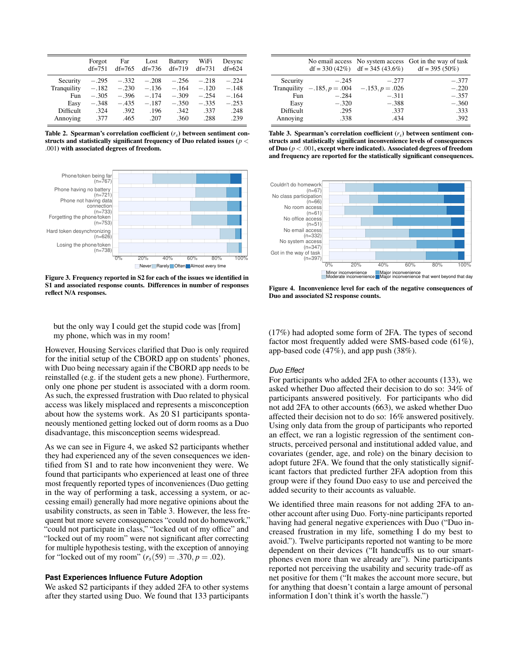|                                                     | Forgot<br>$df = 751$                     | Far<br>$df=765$                          | Lost<br>$df=736$                         | <b>Battery</b><br>$df=719$                       | WiFi<br>$df=731$                         | Desync<br>$df=624$                       |
|-----------------------------------------------------|------------------------------------------|------------------------------------------|------------------------------------------|--------------------------------------------------|------------------------------------------|------------------------------------------|
| Security<br>Tranquility<br>Fun<br>Easy<br>Difficult | $-.295$<br>$-.182$<br>$-.305$<br>$-.348$ | $-.332$<br>$-.230$<br>$-.396$<br>$-.435$ | $-.208$<br>$-.136$<br>$-.174$<br>$-.187$ | $-.256$<br>$-.164$<br>$-.309$<br>$-.350$<br>.342 | $-.218$<br>$-.120$<br>$-.254$<br>$-.335$ | $-.224$<br>$-.148$<br>$-.164$<br>$-.253$ |
| Annoving                                            | .324<br>.377                             | .392<br>.465                             | .196<br>.207                             | .360                                             | .337<br>.288                             | .248<br>.239                             |

<span id="page-6-1"></span>Table 2. Spearman's correlation coefficient (*rs*) between sentiment constructs and statistically significant frequency of Duo related issues (*p* < .001) with associated degrees of freedom.



<span id="page-6-0"></span>Figure 3. Frequency reported in S2 for each of the issues we identified in S1 and associated response counts. Differences in number of responses reflect N/A responses.

but the only way I could get the stupid code was [from] my phone, which was in my room!

However, Housing Services clarified that Duo is only required for the initial setup of the CBORD app on students' phones, with Duo being necessary again if the CBORD app needs to be reinstalled (e.g. if the student gets a new phone). Furthermore, only one phone per student is associated with a dorm room. As such, the expressed frustration with Duo related to physical access was likely misplaced and represents a misconception about how the systems work. As 20 S1 participants spontaneously mentioned getting locked out of dorm rooms as a Duo disadvantage, this misconception seems widespread.

As we can see in Figure [4,](#page-6-2) we asked S2 participants whether they had experienced any of the seven consequences we identified from S1 and to rate how inconvenient they were. We found that participants who experienced at least one of three most frequently reported types of inconveniences (Duo getting in the way of performing a task, accessing a system, or accessing email) generally had more negative opinions about the usability constructs, as seen in Table [3.](#page-6-3) However, the less frequent but more severe consequences "could not do homework," "could not participate in class," "locked out of my office" and "locked out of my room" were not significant after correcting for multiple hypothesis testing, with the exception of annoying for "locked out of my room"  $(r_s(59) = .370, p = .02)$ .

#### **Past Experiences Influence Future Adoption**

We asked S2 participants if they added 2FA to other systems after they started using Duo. We found that 133 participants

|           |         |                                                 | No email access No system access Got in the way of task<br>$df = 330 (42\%)$ $df = 345 (43.6\%)$ $df = 395 (50\%)$ |
|-----------|---------|-------------------------------------------------|--------------------------------------------------------------------------------------------------------------------|
| Security  | $-.245$ | $-.277$                                         | $-.377$                                                                                                            |
|           |         | Tranquility $-.185, p = .004$ $-.153, p = .026$ | $-.220$                                                                                                            |
| Fun       | $-.284$ | $-.311$                                         | $-.357$                                                                                                            |
| Easy      | $-.320$ | $-.388$                                         | $-.360$                                                                                                            |
| Difficult | .295    | .337                                            | .333                                                                                                               |
| Annoving  | .338    | .434                                            | .392                                                                                                               |

<span id="page-6-3"></span>Table 3. Spearman's correlation coefficient  $(r<sub>s</sub>)$  between sentiment constructs and statistically significant inconvenience levels of consequences of Duo (*p* < .001, except where indicated). Associated degrees of freedom and frequency are reported for the statistically significant consequences.



<span id="page-6-2"></span>Figure 4. Inconvenience level for each of the negative consequences of Duo and associated S2 response counts.

(17%) had adopted some form of 2FA. The types of second factor most frequently added were SMS-based code (61%), app-based code (47%), and app push (38%).

#### *Duo Effect*

For participants who added 2FA to other accounts (133), we asked whether Duo affected their decision to do so: 34% of participants answered positively. For participants who did not add 2FA to other accounts (663), we asked whether Duo affected their decision not to do so: 16% answered positively. Using only data from the group of participants who reported an effect, we ran a logistic regression of the sentiment constructs, perceived personal and institutional added value, and covariates (gender, age, and role) on the binary decision to adopt future 2FA. We found that the only statistically significant factors that predicted further 2FA adoption from this group were if they found Duo easy to use and perceived the added security to their accounts as valuable.

We identified three main reasons for not adding 2FA to another account after using Duo. Forty-nine participants reported having had general negative experiences with Duo ("Duo increased frustration in my life, something I do my best to avoid."). Twelve participants reported not wanting to be more dependent on their devices ("It handcuffs us to our smartphones even more than we already are"). Nine participants reported not perceiving the usability and security trade-off as net positive for them ("It makes the account more secure, but for anything that doesn't contain a large amount of personal information I don't think it's worth the hassle.")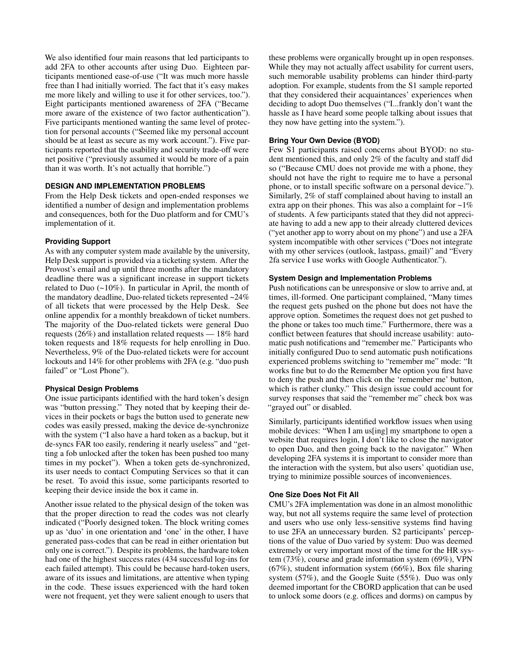We also identified four main reasons that led participants to add 2FA to other accounts after using Duo. Eighteen participants mentioned ease-of-use ("It was much more hassle free than I had initially worried. The fact that it's easy makes me more likely and willing to use it for other services, too."). Eight participants mentioned awareness of 2FA ("Became more aware of the existence of two factor authentication"). Five participants mentioned wanting the same level of protection for personal accounts ("Seemed like my personal account should be at least as secure as my work account."). Five participants reported that the usability and security trade-off were net positive ("previously assumed it would be more of a pain than it was worth. It's not actually that horrible.")

# **DESIGN AND IMPLEMENTATION PROBLEMS**

From the Help Desk tickets and open-ended responses we identified a number of design and implementation problems and consequences, both for the Duo platform and for CMU's implementation of it.

## **Providing Support**

As with any computer system made available by the university, Help Desk support is provided via a ticketing system. After the Provost's email and up until three months after the mandatory deadline there was a significant increase in support tickets related to Duo  $(-10\%)$ . In particular in April, the month of the mandatory deadline, Duo-related tickets represented ~24% of all tickets that were processed by the Help Desk. See online appendix for a monthly breakdown of ticket numbers. The majority of the Duo-related tickets were general Duo requests (26%) and installation related requests — 18% hard token requests and 18% requests for help enrolling in Duo. Nevertheless, 9% of the Duo-related tickets were for account lockouts and 14% for other problems with 2FA (e.g. "duo push failed" or "Lost Phone").

# **Physical Design Problems**

One issue participants identified with the hard token's design was "button pressing." They noted that by keeping their devices in their pockets or bags the button used to generate new codes was easily pressed, making the device de-synchronize with the system ("I also have a hard token as a backup, but it de-syncs FAR too easily, rendering it nearly useless" and "getting a fob unlocked after the token has been pushed too many times in my pocket"). When a token gets de-synchronized, its user needs to contact Computing Services so that it can be reset. To avoid this issue, some participants resorted to keeping their device inside the box it came in.

Another issue related to the physical design of the token was that the proper direction to read the codes was not clearly indicated ("Poorly designed token. The block writing comes up as 'duo' in one orientation and 'one' in the other, I have generated pass-codes that can be read in either orientation but only one is correct."). Despite its problems, the hardware token had one of the highest success rates (434 successful log-ins for each failed attempt). This could be because hard-token users, aware of its issues and limitations, are attentive when typing in the code. These issues experienced with the hard token were not frequent, yet they were salient enough to users that

these problems were organically brought up in open responses. While they may not actually affect usability for current users, such memorable usability problems can hinder third-party adoption. For example, students from the S1 sample reported that they considered their acquaintances' experiences when deciding to adopt Duo themselves ("I...frankly don't want the hassle as I have heard some people talking about issues that they now have getting into the system.").

# **Bring Your Own Device (BYOD)**

Few S1 participants raised concerns about BYOD: no student mentioned this, and only 2% of the faculty and staff did so ("Because CMU does not provide me with a phone, they should not have the right to require me to have a personal phone, or to install specific software on a personal device."). Similarly, 2% of staff complained about having to install an extra app on their phones. This was also a complaint for  $\sim$ 1% of students. A few participants stated that they did not appreciate having to add a new app to their already cluttered devices ("yet another app to worry about on my phone") and use a 2FA system incompatible with other services ("Does not integrate with my other services (outlook, lastpass, gmail)" and "Every 2fa service I use works with Google Authenticator.").

#### **System Design and Implementation Problems**

Push notifications can be unresponsive or slow to arrive and, at times, ill-formed. One participant complained, "Many times the request gets pushed on the phone but does not have the approve option. Sometimes the request does not get pushed to the phone or takes too much time." Furthermore, there was a conflict between features that should increase usability: automatic push notifications and "remember me." Participants who initially configured Duo to send automatic push notifications experienced problems switching to "remember me" mode: "It works fine but to do the Remember Me option you first have to deny the push and then click on the 'remember me' button, which is rather clunky." This design issue could account for survey responses that said the "remember me" check box was "grayed out" or disabled.

Similarly, participants identified workflow issues when using mobile devices: "When I am us[ing] my smartphone to open a website that requires login, I don't like to close the navigator to open Duo, and then going back to the navigator." When developing 2FA systems it is important to consider more than the interaction with the system, but also users' quotidian use, trying to minimize possible sources of inconveniences.

# **One Size Does Not Fit All**

CMU's 2FA implementation was done in an almost monolithic way, but not all systems require the same level of protection and users who use only less-sensitive systems find having to use 2FA an unnecessary burden. S2 participants' perceptions of the value of Duo varied by system: Duo was deemed extremely or very important most of the time for the HR system (73%), course and grade information system (69%), VPN  $(67\%)$ , student information system  $(66\%)$ , Box file sharing system (57%), and the Google Suite (55%). Duo was only deemed important for the CBORD application that can be used to unlock some doors (e.g. offices and dorms) on campus by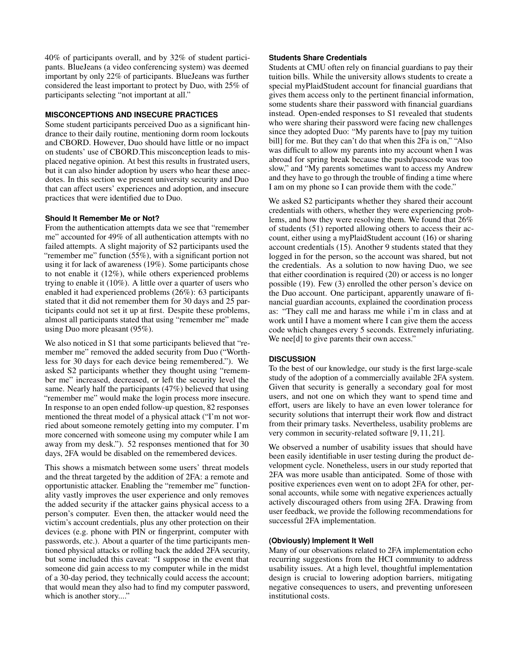40% of participants overall, and by 32% of student participants. BlueJeans (a video conferencing system) was deemed important by only 22% of participants. BlueJeans was further considered the least important to protect by Duo, with 25% of participants selecting "not important at all."

# **MISCONCEPTIONS AND INSECURE PRACTICES**

Some student participants perceived Duo as a significant hindrance to their daily routine, mentioning dorm room lockouts and CBORD. However, Duo should have little or no impact on students' use of CBORD.This misconception leads to misplaced negative opinion. At best this results in frustrated users, but it can also hinder adoption by users who hear these anecdotes. In this section we present university security and Duo that can affect users' experiences and adoption, and insecure practices that were identified due to Duo.

## **Should It Remember Me or Not?**

From the authentication attempts data we see that "remember me" accounted for 49% of all authentication attempts with no failed attempts. A slight majority of S2 participants used the "remember me" function (55%), with a significant portion not using it for lack of awareness (19%). Some participants chose to not enable it (12%), while others experienced problems trying to enable it (10%). A little over a quarter of users who enabled it had experienced problems (26%): 63 participants stated that it did not remember them for 30 days and 25 participants could not set it up at first. Despite these problems, almost all participants stated that using "remember me" made using Duo more pleasant (95%).

We also noticed in S1 that some participants believed that "remember me" removed the added security from Duo ("Worthless for 30 days for each device being remembered."). We asked S2 participants whether they thought using "remember me" increased, decreased, or left the security level the same. Nearly half the participants (47%) believed that using "remember me" would make the login process more insecure. In response to an open ended follow-up question, 82 responses mentioned the threat model of a physical attack ("I'm not worried about someone remotely getting into my computer. I'm more concerned with someone using my computer while I am away from my desk."). 52 responses mentioned that for 30 days, 2FA would be disabled on the remembered devices.

This shows a mismatch between some users' threat models and the threat targeted by the addition of 2FA: a remote and opportunistic attacker. Enabling the "remember me" functionality vastly improves the user experience and only removes the added security if the attacker gains physical access to a person's computer. Even then, the attacker would need the victim's account credentials, plus any other protection on their devices (e.g. phone with PIN or fingerprint, computer with passwords, etc.). About a quarter of the time participants mentioned physical attacks or rolling back the added 2FA security, but some included this caveat: "I suppose in the event that someone did gain access to my computer while in the midst of a 30-day period, they technically could access the account; that would mean they also had to find my computer password, which is another story...."

## **Students Share Credentials**

Students at CMU often rely on financial guardians to pay their tuition bills. While the university allows students to create a special myPlaidStudent account for financial guardians that gives them access only to the pertinent financial information, some students share their password with financial guardians instead. Open-ended responses to S1 revealed that students who were sharing their password were facing new challenges since they adopted Duo: "My parents have to [pay my tuition bill] for me. But they can't do that when this 2Fa is on," "Also was difficult to allow my parents into my account when I was abroad for spring break because the push/passcode was too slow," and "My parents sometimes want to access my Andrew and they have to go through the trouble of finding a time where I am on my phone so I can provide them with the code."

We asked S2 participants whether they shared their account credentials with others, whether they were experiencing problems, and how they were resolving them. We found that 26% of students (51) reported allowing others to access their account, either using a myPlaidStudent account (16) or sharing account credentials (15). Another 9 students stated that they logged in for the person, so the account was shared, but not the credentials. As a solution to now having Duo, we see that either coordination is required (20) or access is no longer possible (19). Few (3) enrolled the other person's device on the Duo account. One participant, apparently unaware of financial guardian accounts, explained the coordination process as: "They call me and harass me while i'm in class and at work until I have a moment where I can give them the access code which changes every 5 seconds. Extremely infuriating. We nee<sup>[d]</sup> to give parents their own access."

# **DISCUSSION**

To the best of our knowledge, our study is the first large-scale study of the adoption of a commercially available 2FA system. Given that security is generally a secondary goal for most users, and not one on which they want to spend time and effort, users are likely to have an even lower tolerance for security solutions that interrupt their work flow and distract from their primary tasks. Nevertheless, usability problems are very common in security-related software [\[9,](#page-10-26) [11,](#page-10-27) [21\]](#page-10-28).

We observed a number of usability issues that should have been easily identifiable in user testing during the product development cycle. Nonetheless, users in our study reported that 2FA was more usable than anticipated. Some of those with positive experiences even went on to adopt 2FA for other, personal accounts, while some with negative experiences actually actively discouraged others from using 2FA. Drawing from user feedback, we provide the following recommendations for successful 2FA implementation.

# **(Obviously) Implement It Well**

Many of our observations related to 2FA implementation echo recurring suggestions from the HCI community to address usability issues. At a high level, thoughtful implementation design is crucial to lowering adoption barriers, mitigating negative consequences to users, and preventing unforeseen institutional costs.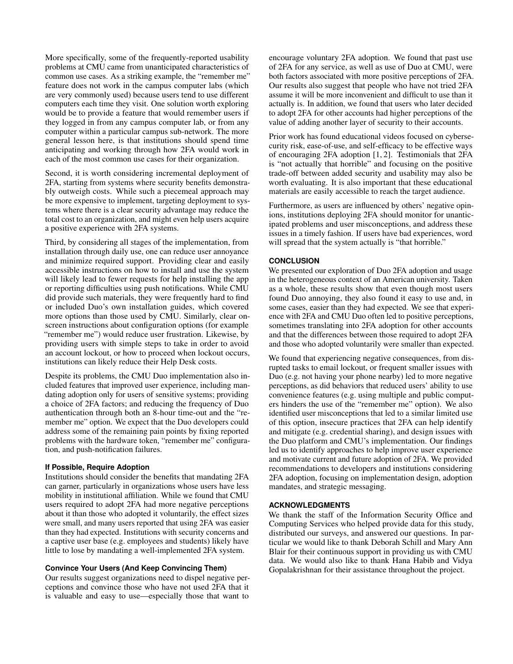More specifically, some of the frequently-reported usability problems at CMU came from unanticipated characteristics of common use cases. As a striking example, the "remember me" feature does not work in the campus computer labs (which are very commonly used) because users tend to use different computers each time they visit. One solution worth exploring would be to provide a feature that would remember users if they logged in from any campus computer lab, or from any computer within a particular campus sub-network. The more general lesson here, is that institutions should spend time anticipating and working through how 2FA would work in each of the most common use cases for their organization.

Second, it is worth considering incremental deployment of 2FA, starting from systems where security benefits demonstrably outweigh costs. While such a piecemeal approach may be more expensive to implement, targeting deployment to systems where there is a clear security advantage may reduce the total cost to an organization, and might even help users acquire a positive experience with 2FA systems.

Third, by considering all stages of the implementation, from installation through daily use, one can reduce user annoyance and minimize required support. Providing clear and easily accessible instructions on how to install and use the system will likely lead to fewer requests for help installing the app or reporting difficulties using push notifications. While CMU did provide such materials, they were frequently hard to find or included Duo's own installation guides, which covered more options than those used by CMU. Similarly, clear onscreen instructions about configuration options (for example "remember me") would reduce user frustration. Likewise, by providing users with simple steps to take in order to avoid an account lockout, or how to proceed when lockout occurs, institutions can likely reduce their Help Desk costs.

Despite its problems, the CMU Duo implementation also included features that improved user experience, including mandating adoption only for users of sensitive systems; providing a choice of 2FA factors; and reducing the frequency of Duo authentication through both an 8-hour time-out and the "remember me" option. We expect that the Duo developers could address some of the remaining pain points by fixing reported problems with the hardware token, "remember me" configuration, and push-notification failures.

## **If Possible, Require Adoption**

Institutions should consider the benefits that mandating 2FA can garner, particularly in organizations whose users have less mobility in institutional affiliation. While we found that CMU users required to adopt 2FA had more negative perceptions about it than those who adopted it voluntarily, the effect sizes were small, and many users reported that using 2FA was easier than they had expected. Institutions with security concerns and a captive user base (e.g. employees and students) likely have little to lose by mandating a well-implemented 2FA system.

## **Convince Your Users (And Keep Convincing Them)**

Our results suggest organizations need to dispel negative perceptions and convince those who have not used 2FA that it is valuable and easy to use—especially those that want to

encourage voluntary 2FA adoption. We found that past use of 2FA for any service, as well as use of Duo at CMU, were both factors associated with more positive perceptions of 2FA. Our results also suggest that people who have not tried 2FA assume it will be more inconvenient and difficult to use than it actually is. In addition, we found that users who later decided to adopt 2FA for other accounts had higher perceptions of the value of adding another layer of security to their accounts.

Prior work has found educational videos focused on cybersecurity risk, ease-of-use, and self-efficacy to be effective ways of encouraging 2FA adoption [\[1,](#page-10-24) [2\]](#page-10-25). Testimonials that 2FA is "not actually that horrible" and focusing on the positive trade-off between added security and usability may also be worth evaluating. It is also important that these educational materials are easily accessible to reach the target audience.

Furthermore, as users are influenced by others' negative opinions, institutions deploying 2FA should monitor for unanticipated problems and user misconceptions, and address these issues in a timely fashion. If users have bad experiences, word will spread that the system actually is "that horrible."

# **CONCLUSION**

We presented our exploration of Duo 2FA adoption and usage in the heterogeneous context of an American university. Taken as a whole, these results show that even though most users found Duo annoying, they also found it easy to use and, in some cases, easier than they had expected. We see that experience with 2FA and CMU Duo often led to positive perceptions, sometimes translating into 2FA adoption for other accounts and that the differences between those required to adopt 2FA and those who adopted voluntarily were smaller than expected.

We found that experiencing negative consequences, from disrupted tasks to email lockout, or frequent smaller issues with Duo (e.g. not having your phone nearby) led to more negative perceptions, as did behaviors that reduced users' ability to use convenience features (e.g. using multiple and public computers hinders the use of the "remember me" option). We also identified user misconceptions that led to a similar limited use of this option, insecure practices that 2FA can help identify and mitigate (e.g. credential sharing), and design issues with the Duo platform and CMU's implementation. Our findings led us to identify approaches to help improve user experience and motivate current and future adoption of 2FA. We provided recommendations to developers and institutions considering 2FA adoption, focusing on implementation design, adoption mandates, and strategic messaging.

## **ACKNOWLEDGMENTS**

We thank the staff of the Information Security Office and Computing Services who helped provide data for this study, distributed our surveys, and answered our questions. In particular we would like to thank Deborah Schill and Mary Ann Blair for their continuous support in providing us with CMU data. We would also like to thank Hana Habib and Vidya Gopalakrishnan for their assistance throughout the project.